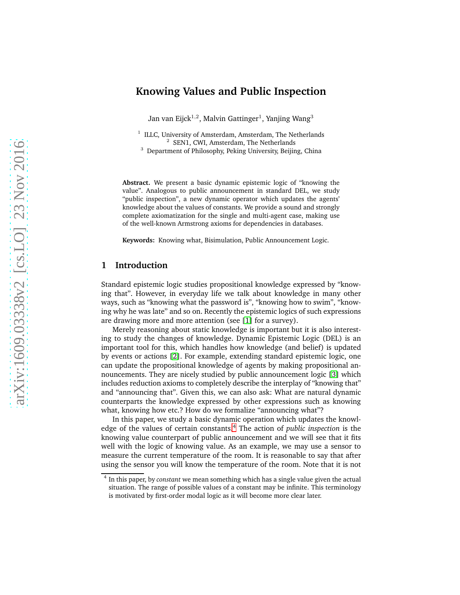# **Knowing Values and Public Inspection**

Jan van Eijck $^{1,2}$ , Malvin Gattinger $^1$ , Yanjing Wang $^3$ 

<sup>1</sup> ILLC, University of Amsterdam, Amsterdam, The Netherlands <sup>2</sup> SEN1, CWI, Amsterdam, The Netherlands

<sup>3</sup> Department of Philosophy, Peking University, Beijing, China

**Abstract.** We present a basic dynamic epistemic logic of "knowing the value". Analogous to public announcement in standard DEL, we study "public inspection", a new dynamic operator which updates the agents' knowledge about the values of constants. We provide a sound and strongly complete axiomatization for the single and multi-agent case, making use of the well-known Armstrong axioms for dependencies in databases.

**Keywords:** Knowing what, Bisimulation, Public Announcement Logic.

### **1 Introduction**

Standard epistemic logic studies propositional knowledge expressed by "knowing that". However, in everyday life we talk about knowledge in many other ways, such as "knowing what the password is", "knowing how to swim", "knowing why he was late" and so on. Recently the epistemic logics of such expressions are drawing more and more attention (see [\[1\]](#page-13-0) for a survey).

Merely reasoning about static knowledge is important but it is also interesting to study the changes of knowledge. Dynamic Epistemic Logic (DEL) is an important tool for this, which handles how knowledge (and belief) is updated by events or actions [\[2\]](#page-13-1). For example, extending standard epistemic logic, one can update the propositional knowledge of agents by making propositional announcements. They are nicely studied by public announcement logic [\[3\]](#page-13-2) which includes reduction axioms to completely describe the interplay of "knowing that" and "announcing that". Given this, we can also ask: What are natural dynamic counterparts the knowledge expressed by other expressions such as knowing what, knowing how etc.? How do we formalize "announcing what"?

In this paper, we study a basic dynamic operation which updates the knowl-edge of the values of certain constants.<sup>[4](#page-0-0)</sup> The action of *public inspection* is the knowing value counterpart of public announcement and we will see that it fits well with the logic of knowing value. As an example, we may use a sensor to measure the current temperature of the room. It is reasonable to say that after using the sensor you will know the temperature of the room. Note that it is not

<span id="page-0-0"></span><sup>4</sup> In this paper, by *constant* we mean something which has a single value given the actual situation. The range of possible values of a constant may be infinite. This terminology is motivated by first-order modal logic as it will become more clear later.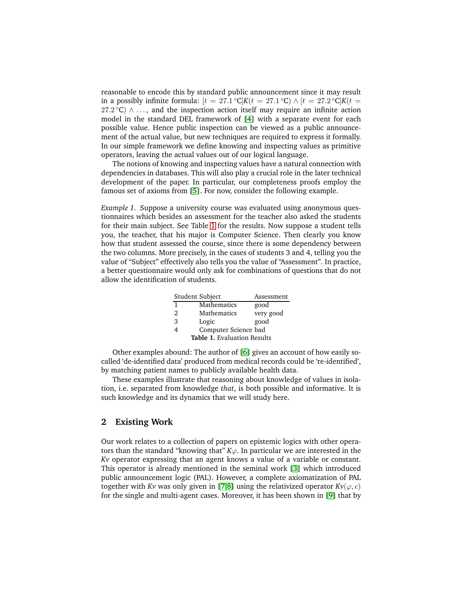reasonable to encode this by standard public announcement since it may result in a possibly infinite formula:  $[t = 27.1 \text{ °C}]K(t = 27.1 \text{ °C}) \wedge [t = 27.2 \text{ °C}]K(t = 27.2 \text{ °C})$  $27.2^{\circ}$ C)  $\wedge \ldots$ , and the inspection action itself may require an infinite action model in the standard DEL framework of [\[4\]](#page-13-3) with a separate event for each possible value. Hence public inspection can be viewed as a public announcement of the actual value, but new techniques are required to express it formally. In our simple framework we define knowing and inspecting values as primitive operators, leaving the actual values out of our logical language.

The notions of knowing and inspecting values have a natural connection with dependencies in databases. This will also play a crucial role in the later technical development of the paper. In particular, our completeness proofs employ the famous set of axioms from [\[5\]](#page-13-4). For now, consider the following example.

*Example 1.* Suppose a university course was evaluated using anonymous questionnaires which besides an assessment for the teacher also asked the students for their main subject. See Table [1](#page-1-0) for the results. Now suppose a student tells you, the teacher, that his major is Computer Science. Then clearly you know how that student assessed the course, since there is some dependency between the two columns. More precisely, in the cases of students 3 and 4, telling you the value of "Subject" effectively also tells you the value of "Assessment". In practice, a better questionnaire would only ask for combinations of questions that do not allow the identification of students.

<span id="page-1-0"></span>

|                                    | Student Subject      | Assessment |
|------------------------------------|----------------------|------------|
| 1                                  | Mathematics          | good       |
| 2.                                 | Mathematics          | very good  |
| 3                                  | Logic                | good       |
|                                    | Computer Science bad |            |
| <b>Table 1. Evaluation Results</b> |                      |            |

Other examples abound: The author of [\[6\]](#page-13-5) gives an account of how easily socalled 'de-identified data' produced from medical records could be 're-identified', by matching patient names to publicly available health data.

These examples illustrate that reasoning about knowledge of values in isolation, i.e. separated from knowledge *that*, is both possible and informative. It is such knowledge and its dynamics that we will study here.

# **2 Existing Work**

Our work relates to a collection of papers on epistemic logics with other operators than the standard "knowing that"  $K\varphi$ . In particular we are interested in the *Kv* operator expressing that an agent knows a value of a variable or constant. This operator is already mentioned in the seminal work [\[3\]](#page-13-2) which introduced public announcement logic (PAL). However, a complete axiomatization of PAL together with *Kv* was only given in [\[7,](#page-13-6)[8\]](#page-13-7) using the relativized operator  $Kv(\varphi, c)$ for the single and multi-agent cases. Moreover, it has been shown in [\[9\]](#page-13-8) that by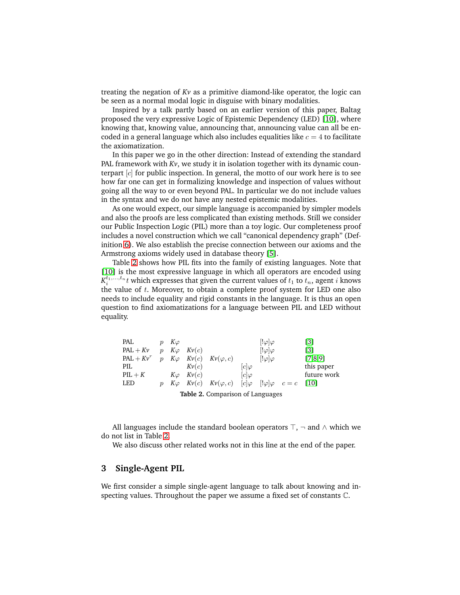treating the negation of *Kv* as a primitive diamond-like operator, the logic can be seen as a normal modal logic in disguise with binary modalities.

Inspired by a talk partly based on an earlier version of this paper, Baltag proposed the very expressive Logic of Epistemic Dependency (LED) [\[10\]](#page-13-9), where knowing that, knowing value, announcing that, announcing value can all be encoded in a general language which also includes equalities like  $c = 4$  to facilitate the axiomatization.

In this paper we go in the other direction: Instead of extending the standard PAL framework with  $Kv$ , we study it in isolation together with its dynamic counterpart  $[c]$  for public inspection. In general, the motto of our work here is to see how far one can get in formalizing knowledge and inspection of values without going all the way to or even beyond PAL. In particular we do not include values in the syntax and we do not have any nested epistemic modalities.

As one would expect, our simple language is accompanied by simpler models and also the proofs are less complicated than existing methods. Still we consider our Public Inspection Logic (PIL) more than a toy logic. Our completeness proof includes a novel construction which we call "canonical dependency graph" (Definition [6\)](#page-7-0). We also establish the precise connection between our axioms and the Armstrong axioms widely used in database theory [\[5\]](#page-13-4).

Table [2](#page-2-0) shows how PIL fits into the family of existing languages. Note that [\[10\]](#page-13-9) is the most expressive language in which all operators are encoded using  $K_i^{t_1,...,t_n}$ t which expresses that given the current values of  $t_1$  to  $t_n$ , agent  $i$  knows the value of  $t$ . Moreover, to obtain a complete proof system for LED one also needs to include equality and rigid constants in the language. It is thus an open question to find axiomatizations for a language between PIL and LED without equality.

|              |                     |            |       | Table 2. Comparison of Languages                                                      |              |                     |                   |
|--------------|---------------------|------------|-------|---------------------------------------------------------------------------------------|--------------|---------------------|-------------------|
| LED          |                     |            |       | $K\varphi$ $K\nu(c)$ $K\nu(\varphi, c)$ $ c \varphi$ $ !\varphi \varphi$ $c = c$ [10] |              |                     |                   |
| $PIL + K$    |                     | $K\varphi$ | Kv(c) |                                                                                       | $[c]\varphi$ |                     | future work       |
| PIL          |                     |            | Kv(c) |                                                                                       | $ c \varphi$ |                     | this paper        |
| $PAL + Kv^r$ | $\boldsymbol{v}$    | $K\varphi$ |       | $Kv(c)$ $Kv(\varphi, c)$                                                              |              | $[!\varphi]\varphi$ | [7,8,9]           |
| $PAL + Kv$   | $\boldsymbol{\eta}$ | $K\varphi$ | Kv(c) |                                                                                       |              | $[!\varphi]\varphi$ | $\lceil 3 \rceil$ |
| PAL          |                     | $K\varphi$ |       |                                                                                       |              | $[!\varphi]\varphi$ | $\lceil 3 \rceil$ |

<span id="page-2-0"></span>**Table 2.** Comparison of Languages

All languages include the standard boolean operators  $\top$ ,  $\neg$  and  $\wedge$  which we do not list in Table [2.](#page-2-0)

We also discuss other related works not in this line at the end of the paper.

# **3 Single-Agent PIL**

We first consider a simple single-agent language to talk about knowing and inspecting values. Throughout the paper we assume a fixed set of constants C.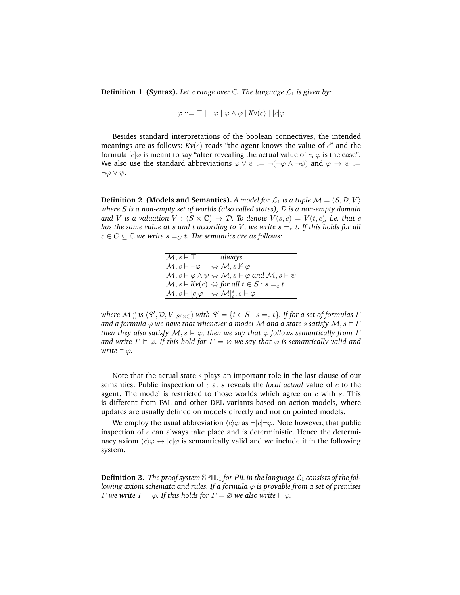**Definition 1 (Syntax).** Let c range over  $\mathbb{C}$ . The language  $\mathcal{L}_1$  is given by:

$$
\varphi ::= \top | \neg \varphi | \varphi \land \varphi | Kv(c) | [c] \varphi
$$

Besides standard interpretations of the boolean connectives, the intended meanings are as follows:  $Kv(c)$  reads "the agent knows the value of  $c$ " and the formula  $[c]\varphi$  is meant to say "after revealing the actual value of  $c, \varphi$  is the case". We also use the standard abbreviations  $\varphi \lor \psi := \neg(\neg \varphi \land \neg \psi)$  and  $\varphi \to \psi :=$  $\neg \varphi \vee \psi$ .

**Definition 2 (Models and Semantics).** *A model for*  $\mathcal{L}_1$  *is a tuple*  $\mathcal{M} = \langle S, \mathcal{D}, V \rangle$ *where* S *is a non-empty set of worlds (also called states),* D *is a non-empty domain and V is a valuation*  $V : (S \times \mathbb{C}) \rightarrow \mathcal{D}$ . To denote  $V(s,c) = V(t,c)$ , i.e. that c *has the same value at s and t according to V, we write*  $s =_c t$ *. If this holds for all*  $c \in C \subseteq \mathbb{C}$  *we write*  $s =_{C} t$ *. The semantics are as follows:* 

| $\mathcal{M},s \vDash \top$                                                          | always                                                                                                                              |
|--------------------------------------------------------------------------------------|-------------------------------------------------------------------------------------------------------------------------------------|
| $\mathcal{M}, s \models \neg \varphi \Leftrightarrow \mathcal{M}, s \nvDash \varphi$ |                                                                                                                                     |
|                                                                                      | $\mathcal{M}, s \models \varphi \land \psi \Leftrightarrow \mathcal{M}, s \models \varphi \text{ and } \mathcal{M}, s \models \psi$ |
|                                                                                      | $\mathcal{M}, s \models Kv(c) \Leftrightarrow$ for all $t \in S : s =_c t$                                                          |
|                                                                                      | $\mathcal{M}, s \models [c] \varphi \Leftrightarrow \mathcal{M} _{c}^{s}, s \models \varphi$                                        |

where  $\mathcal{M}|_{c}^{s}$  is  $\langle S',\mathcal{D},V|_{S'\times \mathbb{C}}\rangle$  with  $S'=\{t\in S\mid s=_{c}t\}.$  If for a set of formulas  $I$ *and a formula*  $\varphi$  *we have that whenever a model M and a state s satisfy*  $M, s \models \Gamma$ *then they also satisfy*  $M, s \models \varphi$ , then we say that  $\varphi$  follows semantically from  $\Gamma$ *and write*  $\Gamma \models \varphi$ *. If this hold for*  $\Gamma = \varnothing$  *we say that*  $\varphi$  *is semantically valid and write*  $\models \varphi$ *.* 

Note that the actual state s plays an important role in the last clause of our semantics: Public inspection of c at s reveals the *local actual* value of c to the agent. The model is restricted to those worlds which agree on  $c$  with  $s$ . This is different from PAL and other DEL variants based on action models, where updates are usually defined on models directly and not on pointed models.

We employ the usual abbreviation  $\langle c \rangle \varphi$  as  $\neg [c] \neg \varphi$ . Note however, that public inspection of  $c$  can always take place and is deterministic. Hence the determinacy axiom  $\langle c \rangle \varphi \leftrightarrow [c] \varphi$  is semantically valid and we include it in the following system.

**Definition 3.** The proof system  $\mathbb{SPIL}_1$  for PIL in the language  $\mathcal{L}_1$  consists of the fol*lowing axiom schemata and rules. If a formula*  $\varphi$  *is provable from a set of premises Γ* we write  $\Gamma \vdash \varphi$ *. If this holds for*  $\Gamma = \varnothing$  we also write  $\vdash \varphi$ *.*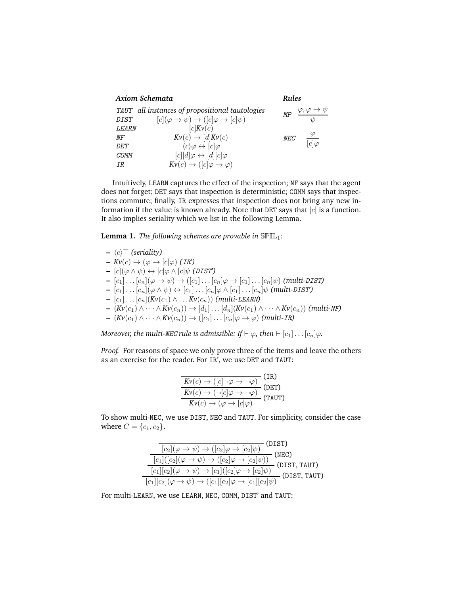| Axiom Schemata |                                                         | Rules      |                              |
|----------------|---------------------------------------------------------|------------|------------------------------|
|                | TAUT all instances of propositional tautologies         | MP         | $\varphi, \varphi \to \psi$  |
| <b>DIST</b>    | $[c](\varphi \to \psi) \to ([c]\varphi \to [c]\psi)$    |            | $\frac{1}{2}$                |
| <b>LEARN</b>   | [c]Kv(c)                                                |            |                              |
| NF             | $Kv(c) \rightarrow [d]Kv(c)$                            | <b>NEC</b> | $\frac{\varphi}{ c \varphi}$ |
| DF.T           | $\langle c \rangle \varphi \leftrightarrow [c] \varphi$ |            |                              |
| COMM           | $[c][d]\varphi \leftrightarrow [d][c]\varphi$           |            |                              |
| ΙR             | $Kv(c) \rightarrow ( [c] \varphi \rightarrow \varphi)$  |            |                              |

Intuitively, LEARN captures the effect of the inspection; NF says that the agent does not forget; DET says that inspection is deterministic; COMM says that inspections commute; finally, IR expresses that inspection does not bring any new information if the value is known already. Note that DET says that  $[c]$  is a function. It also implies seriality which we list in the following Lemma.

<span id="page-4-0"></span>Lemma 1. *The following schemes are provable in*  $\mathbb{SPIL}_1$ *:* 

**–** hci⊤ *(seriality)*  $Kv(c) \rightarrow (\varphi \rightarrow [c]\varphi)$  *(IR')*  $[c](\varphi \wedge \psi) \leftrightarrow [c]\varphi \wedge [c]\psi$  (DIST<sup>'</sup>)  $\bullet$   $[c_1] \dots [c_n](\varphi \to \psi) \to ([c_1] \dots [c_n]\varphi \to [c_1] \dots [c_n]\psi)$  *(multi-DIST)*  $\mathbf{I} = [c_1] \dots [c_n] (\varphi \wedge \psi) \leftrightarrow [c_1] \dots [c_n] \varphi \wedge [c_1] \dots [c_n] \psi$  *(multi-DIST')* **–** [c1] . . . [cn](*Kv*(c1) ∧ . . . *Kv*(cn)) *(multi-*LEARN*)* **–**  $(Kv(c_1) ∧ · · · ∧  $Kv(c_n)) → [d_1] · · · [d_n](Kv(c_1) ∧ · · · ∧  $Kv(c_n))$  (multi-MF)$$ **–** (*Kv*(c1) ∧ · · · ∧ *Kv*(cn)) → ([c1] . . . [cn]ϕ → ϕ) *(multi-*IR*)*

*Moreover, the multi-NEC rule is admissible: If*  $\vdash \varphi$ *, then*  $\vdash$   $[c_1] \dots [c_n] \varphi$ *.* 

*Proof.* For reasons of space we only prove three of the items and leave the others as an exercise for the reader. For IR', we use DET and TAUT:

$$
\frac{Kv(c) \to ([c] \to \gamma \to \gamma \varphi)}{Kv(c) \to (\neg[c] \varphi \to \gamma \varphi)} \text{(DET)}
$$
  
\n
$$
\frac{Kv(c) \to (\varphi \to [c] \varphi)}{Kv(c) \to (\varphi \to [c] \varphi)} \text{(TAUT)}
$$

To show multi-NEC, we use DIST, NEC and TAUT. For simplicity, consider the case where  $C = \{c_1, c_2\}$ .

| (DIST)                                                                                                     |
|------------------------------------------------------------------------------------------------------------|
| $[c_2](\varphi \rightarrow \psi) \rightarrow ([c_2]\varphi \rightarrow [c_2]\psi)$                         |
| (NEC)<br>$\overline{ c_1 ( c_2 (\varphi\rightarrow\psi)\rightarrow ( [c_2]\varphi\rightarrow [c_2]\psi))}$ |
| (DIST, TAUT)<br>$[c_1 [c_2](\varphi \to \psi) \to [c_1]([c_2]\varphi \to [c_2]\psi)$                       |
| (DIST, TAUT)<br>$\overline{[c_1][c_2](\varphi \to \psi) \to ([c_1][c_2]\varphi \to [c_1][c_2]\psi)}$       |

For multi-LEARN, we use LEARN, NEC, COMM, DIST' and TAUT: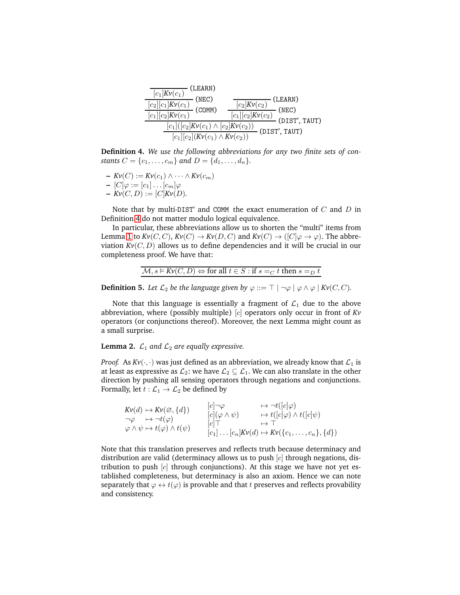

<span id="page-5-0"></span>**Definition 4.** *We use the following abbreviations for any two finite sets of constants*  $C = \{c_1, \ldots, c_m\}$  *and*  $D = \{d_1, \ldots, d_n\}.$ 

 $\mathcal{L} = Kv(C) := Kv(c_1) \wedge \cdots \wedge Kv(c_m)$ 

$$
\mathbb{E}\left[C\right]\varphi := [c_1]\dots[c_m]\varphi
$$

 $V = [C_1 \vee C_1] \cdots [C_m] \vee (C_m) = Kv(C, D) := [C]Kv(D).$ 

Note that by multi-DIST' and COMM the exact enumeration of  $C$  and  $D$  in Definition [4](#page-5-0) do not matter modulo logical equivalence.

In particular, these abbreviations allow us to shorten the "multi" items from Lemma [1](#page-4-0) to  $Kv(C, C)$ ,  $Kv(C) \to Kv(D, C)$  and  $Kv(C) \to ([C] \varphi \to \varphi)$ . The abbreviation  $Kv(C, D)$  allows us to define dependencies and it will be crucial in our completeness proof. We have that:

$$
\mathcal{M}, s \vDash Kv(C, D) \Leftrightarrow \text{for all } t \in S : \text{if } s =_C t \text{ then } s =_D t
$$

**Definition 5.** *Let*  $\mathcal{L}_2$  *be the language given by*  $\varphi ::= \top | \neg \varphi | \varphi \land \varphi | Kv(C, C)$ *.* 

Note that this language is essentially a fragment of  $\mathcal{L}_1$  due to the above abbreviation, where (possibly multiple) [c] operators only occur in front of *Kv* operators (or conjunctions thereof). Moreover, the next Lemma might count as a small surprise.

<span id="page-5-1"></span>**Lemma 2.**  $\mathcal{L}_1$  *and*  $\mathcal{L}_2$  *are equally expressive.* 

*Proof.* As  $Kv(\cdot, \cdot)$  was just defined as an abbreviation, we already know that  $\mathcal{L}_1$  is at least as expressive as  $\mathcal{L}_2$ : we have  $\mathcal{L}_2 \subseteq \mathcal{L}_1$ . We can also translate in the other direction by pushing all sensing operators through negations and conjunctions. Formally, let  $t : \mathcal{L}_1 \to \mathcal{L}_2$  be defined by

 $Kv(d) \mapsto Kv(\varnothing, \{d\})$  $\neg \varphi \quad \mapsto \neg t(\varphi)$  $\varphi \wedge \psi \mapsto t(\varphi) \wedge t(\psi)$  $[c] \neg \varphi \qquad \qquad \mapsto \neg t([c] \varphi)$  $[c](\varphi \wedge \psi) \longrightarrow t([c]\varphi) \wedge t([c]\psi)$  $[c] \top \longrightarrow \top$  $[c_1] \dots [c_n] Kv(d) \mapsto Kv({c_1, \dots, c_n}, {d})$ 

Note that this translation preserves and reflects truth because determinacy and distribution are valid (determinacy allows us to push  $[c]$  through negations, distribution to push  $[c]$  through conjunctions). At this stage we have not yet established completeness, but determinacy is also an axiom. Hence we can note separately that  $\varphi \leftrightarrow t(\varphi)$  is provable and that t preserves and reflects provability and consistency.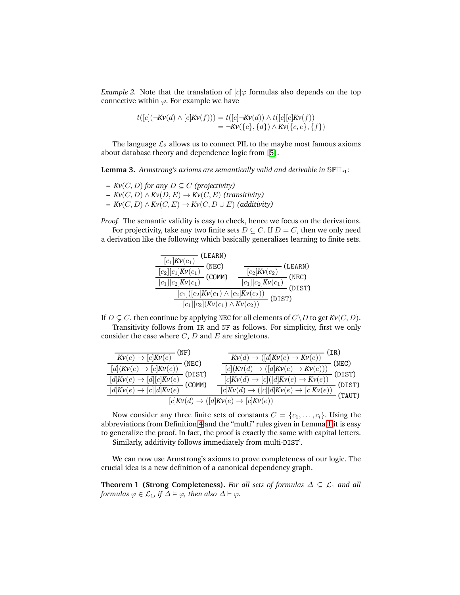*Example 2.* Note that the translation of  $[c] \varphi$  formulas also depends on the top connective within  $\varphi$ . For example we have

$$
t([c](\neg Kv(d) \land [e]Kv(f))) = t([c] \neg Kv(d)) \land t([c][e]Kv(f))
$$
  
= 
$$
\neg Kv({c}, {d}) \land Kv({c}, e, {f})
$$

<span id="page-6-0"></span>The language  $\mathcal{L}_2$  allows us to connect PIL to the maybe most famous axioms about database theory and dependence logic from [\[5\]](#page-13-4).

**Lemma 3.** Armstrong's axioms are semantically valid and derivable in SPIL<sub>1</sub>:

- **–** *Kv*(C, D) *for any* D ⊆ C *(projectivity)* **–** *Kv*(C, D) ∧ *Kv*(D, E) → *Kv*(C, E) *(transitivity)*
- **–** *Kv*(C, D) ∧ *Kv*(C, E) → *Kv*(C, D ∪ E) *(additivity)*

*Proof.* The semantic validity is easy to check, hence we focus on the derivations.

For projectivity, take any two finite sets  $D \subseteq C$ . If  $D = C$ , then we only need a derivation like the following which basically generalizes learning to finite sets.



If  $D \subseteq C$ , then continue by applying NEC for all elements of  $C \setminus D$  to get  $Kv(C, D)$ .

Transitivity follows from IR and NF as follows. For simplicity, first we only consider the case where  $C$ ,  $D$  and  $E$  are singletons.

| (NF)<br>$Kv(e) \rightarrow [c]Kv(e)$                                                                                                         | $Kv(d) \rightarrow ([d]Kv(e) \rightarrow Kv(e))$                                   | (IR)   |
|----------------------------------------------------------------------------------------------------------------------------------------------|------------------------------------------------------------------------------------|--------|
| (NEC)                                                                                                                                        |                                                                                    | (NEC)  |
| $[d](Kv(e) \rightarrow \sqrt{c]Kv(e)})$<br>(DIST)<br>$[d]{\mathrm{\cal K}\mathrm{\nu}}(e)\rightarrow [d][c]{\mathrm{\cal K}\mathrm{\nu}}(e)$ | $\frac{[c](Kv(d) \to ([d]Kv(e) \to Kv(e)))}{[c]Kv(d) \to [c]([d]Kv(e) \to Kv(e))}$ | (DIST) |
| (COMM)<br>$\overline{[d]}Kv(e) \rightarrow \overline{[c]}[d]Kv(e)$                                                                           | $\overline{[c]Kv(d)\rightarrow ([c][d]Kv(e)\rightarrow [c]}Kv(e))$                 | (DIST) |
|                                                                                                                                              | $[c]Kv(d) \rightarrow ( [d]Kv(e) \rightarrow [c]Kv(e))$                            | (TAUT) |

Now consider any three finite sets of constants  $C = \{c_1, \ldots, c_l\}$ . Using the abbreviations from Definition [4](#page-5-0) and the "multi" rules given in Lemma [1](#page-4-0) it is easy to generalize the proof. In fact, the proof is exactly the same with capital letters. Similarly, additivity follows immediately from multi-DIST'.

<span id="page-6-1"></span>We can now use Armstrong's axioms to prove completeness of our logic. The crucial idea is a new definition of a canonical dependency graph.

**Theorem 1 (Strong Completeness).** For all sets of formulas  $\Delta \subseteq \mathcal{L}_1$  and all *formulas*  $\varphi \in \mathcal{L}_1$ *, if*  $\Delta \models \varphi$ *, then also*  $\Delta \vdash \varphi$ *.*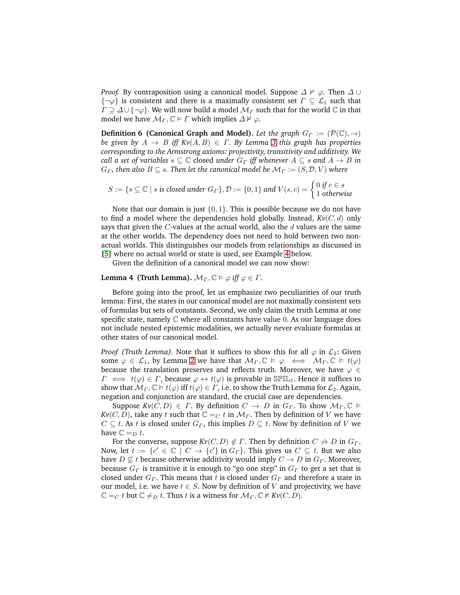*Proof.* By contraposition using a canonical model. Suppose  $\Delta \nvdash \varphi$ . Then  $\Delta \cup$  $\{\neg \varphi\}$  is consistent and there is a maximally consistent set  $\Gamma \subseteq \mathcal{L}_1$  such that  $\Gamma \supseteq \Delta \cup \{\neg \varphi\}.$  We will now build a model  $\mathcal{M}_{\Gamma}$  such that for the world  $\mathbb C$  in that model we have  $\mathcal{M}_{\Gamma}$ ,  $\mathbb{C} \models \Gamma$  which implies  $\Delta \not\models \varphi$ .

<span id="page-7-0"></span>**Definition 6 (Canonical Graph and Model).** *Let the graph*  $G_{\Gamma} := (\mathcal{P}(\mathbb{C}), \rightarrow)$ *be given by*  $A \rightarrow B$  *iff Kv*( $A, B$ )  $\in \Gamma$ . By Lemma [3](#page-6-0) this graph has properties *corresponding to the Armstrong axioms: projectivity, transitivity and additivity. We call a set of variables*  $s \subseteq \mathbb{C}$  closed *under*  $G_{\Gamma}$  *iff whenever*  $A \subseteq s$  *and*  $A \to B$  *in*  $G_{\Gamma}$ , then also  $B \subseteq s$ . Then let the canonical model be  $\mathcal{M}_{\Gamma} := (S, \mathcal{D}, V)$  where

$$
S := \{ s \subseteq \mathbb{C} \mid s \text{ is closed under } G_{\Gamma} \}, \mathcal{D} := \{0, 1\} \text{ and } V(s, c) = \begin{cases} 0 \text{ if } c \in s \\ 1 \text{ otherwise} \end{cases}
$$

Note that our domain is just  $\{0, 1\}$ . This is possible because we do not have to find a model where the dependencies hold globally. Instead,  $Kv(C, d)$  only says that given the  $C$ -values at the actual world, also the  $d$  values are the same at the other worlds. The dependency does not need to hold between two nonactual worlds. This distinguishes our models from relationships as discussed in [\[5\]](#page-13-4) where no actual world or state is used, see Example [4](#page-8-0) below.

Given the definition of a canonical model we can now show:

#### **Lemma 4 (Truth Lemma).**  $M_r$ ,  $\mathbb{C} \models \varphi$  *iff*  $\varphi \in \Gamma$ .

Before going into the proof, let us emphasize two peculiarities of our truth lemma: First, the states in our canonical model are not maximally consistent sets of formulas but sets of constants. Second, we only claim the truth Lemma at one specific state, namely  $\mathbb C$  where all constants have value 0. As our language does not include nested epistemic modalities, we actually never evaluate formulas at other states of our canonical model.

*Proof (Truth Lemma).* Note that it suffices to show this for all  $\varphi$  in  $\mathcal{L}_2$ : Given some  $\varphi \in \mathcal{L}_1$ , by Lemma [2](#page-5-1) we have that  $\mathcal{M}_{\Gamma}, \mathbb{C} \models \varphi \iff \mathcal{M}_{\Gamma}, \mathbb{C} \models t(\varphi)$ because the translation preserves and reflects truth. Moreover, we have  $\varphi \in$  $\Gamma \iff t(\varphi) \in \Gamma$ , because  $\varphi \leftrightarrow t(\varphi)$  is provable in SPIL<sub>1</sub>. Hence it suffices to show that  $\mathcal{M}_{\Gamma}$ ,  $\mathbb{C} \models t(\varphi)$  iff  $t(\varphi) \in \Gamma$ , i.e. to show the Truth Lemma for  $\mathcal{L}_2$ . Again, negation and conjunction are standard, the crucial case are dependencies.

Suppose  $Kv(C, D) \in \Gamma$ . By definition  $C \to D$  in  $G_{\Gamma}$ . To show  $\mathcal{M}_{\Gamma}, \mathbb{C} \models$  $Kv(C, D)$ , take any t such that  $\mathbb{C} =_C t$  in  $\mathcal{M}_\Gamma$ . Then by definition of V we have  $C \subseteq t$ . As t is closed under  $G_{\Gamma}$ , this implies  $D \subseteq t$ . Now by definition of V we have  $\mathbb{C} =_{D} t$ .

For the converse, suppose  $Kv(C, D) \notin \Gamma$ . Then by definition  $C \nrightarrow D$  in  $G_{\Gamma}$ . Now, let  $t := \{c' \in \mathbb{C} \mid C \to \{c'\} \text{ in } G_\Gamma\}$ . This gives us  $C \subseteq t$ . But we also have  $D \nsubseteq t$  because otherwise additivity would imply  $C \to D$  in  $G_r$ . Moreover, because  $G_{\Gamma}$  is transitive it is enough to "go one step" in  $G_{\Gamma}$  to get a set that is closed under  $G_\Gamma$ . This means that t is closed under  $G_\Gamma$  and therefore a state in our model, i.e. we have  $t \in S$ . Now by definition of V and projectivity, we have  $\mathbb{C} =_C t$  but  $\mathbb{C} \neq_D t$ . Thus t is a witness for  $\mathcal{M}_\Gamma, \mathbb{C} \not\vDash Kv(C, D)$ .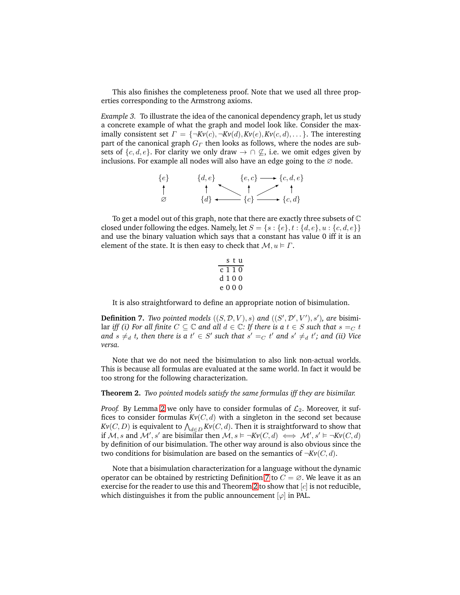This also finishes the completeness proof. Note that we used all three properties corresponding to the Armstrong axioms.

<span id="page-8-3"></span>*Example 3.* To illustrate the idea of the canonical dependency graph, let us study a concrete example of what the graph and model look like. Consider the maximally consistent set  $\Gamma = \{\neg Kv(c), \neg Kv(d), Kv(e), Kv(c, d), \dots\}$ . The interesting part of the canonical graph  $G<sub>Γ</sub>$  then looks as follows, where the nodes are subsets of  $\{c, d, e\}$ . For clarity we only draw  $\rightarrow \cap \mathcal{L}$ , i.e. we omit edges given by inclusions. For example all nodes will also have an edge going to the  $\varnothing$  node.

$$
\begin{array}{ccc}\n\{e\} & \{d,e\} & \{e,c\} \longrightarrow \{c,d,e\} \\
\uparrow & \uparrow & \uparrow & \uparrow \\
\varnothing & \{d\} & \longrightarrow \{c\} & \longrightarrow \{c,d\}\n\end{array}
$$

To get a model out of this graph, note that there are exactly three subsets of  $\mathbb C$ closed under following the edges. Namely, let  $S = \{s : \{e\}, t : \{d, e\}, u : \{c, d, e\}\}\$ and use the binary valuation which says that a constant has value 0 iff it is an element of the state. It is then easy to check that  $\mathcal{M}, u \models \Gamma$ .

|  |         | stu |
|--|---------|-----|
|  | c 1 1 0 |     |
|  | d 1 0 0 |     |
|  | e 0 0 0 |     |

<span id="page-8-1"></span>It is also straightforward to define an appropriate notion of bisimulation.

**Definition 7.** *Two pointed models*  $((S, \mathcal{D}, V), s)$  *and*  $((S', \mathcal{D}', V'), s')$ *, are bisimi*lar *iff (i)* For all finite  $C \subseteq \mathbb{C}$  and all  $d \in \mathbb{C}$ : If there is a  $t \in S$  such that  $s =_C t$ and  $s \neq_d t$ , then there is a  $t' \in S'$  such that  $s' =_C t'$  and  $s' \neq_d t'$ ; and (ii) Vice *versa.*

Note that we do not need the bisimulation to also link non-actual worlds. This is because all formulas are evaluated at the same world. In fact it would be too strong for the following characterization.

#### <span id="page-8-2"></span>**Theorem 2.** *Two pointed models satisfy the same formulas iff they are bisimilar.*

*Proof.* By Lemma [2](#page-5-1) we only have to consider formulas of  $\mathcal{L}_2$ . Moreover, it suffices to consider formulas  $Kv(C, d)$  with a singleton in the second set because *Kv* $(C, D)$  *is equivalent to*  $\bigwedge_{d \in D}K$ *v* $(C, d)$ *. Then it is straightforward to show that* if  $\mathcal M$ , s and  $\mathcal M'$ , s' are bisimilar then  $\mathcal M, s \vDash \neg Kv(C,d) \iff \mathcal M', s' \vDash \neg Kv(C,d)$ by definition of our bisimulation. The other way around is also obvious since the two conditions for bisimulation are based on the semantics of  $\neg Kv(C, d)$ .

<span id="page-8-0"></span>Note that a bisimulation characterization for a language without the dynamic operator can be obtained by restricting Definition [7](#page-8-1) to  $C = \emptyset$ . We leave it as an exercise for the reader to use this and Theorem [2](#page-8-2) to show that  $[c]$  is not reducible, which distinguishes it from the public announcement  $[\varphi]$  in PAL.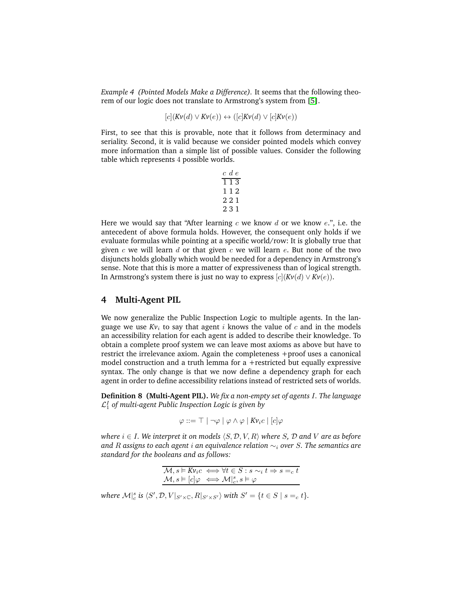*Example 4 (Pointed Models Make a Difference).* It seems that the following theorem of our logic does not translate to Armstrong's system from [\[5\]](#page-13-4).

 $[c]$ (*Kv*(*d*)  $\vee$  *Kv*(*e*))  $\leftrightarrow$  ([*c*]*Kv*(*d*)  $\vee$  [*c*]*Kv*(*e*))

First, to see that this is provable, note that it follows from determinacy and seriality. Second, it is valid because we consider pointed models which convey more information than a simple list of possible values. Consider the following table which represents 4 possible worlds.

|     | $c \, d \, e$ |  |
|-----|---------------|--|
| 113 |               |  |
| 112 |               |  |
|     | 221           |  |
|     | 231           |  |

Here we would say that "After learning  $c$  we know  $d$  or we know  $e$ .", i.e. the antecedent of above formula holds. However, the consequent only holds if we evaluate formulas while pointing at a specific world/row: It is globally true that given c we will learn d or that given c we will learn  $e$ . But none of the two disjuncts holds globally which would be needed for a dependency in Armstrong's sense. Note that this is more a matter of expressiveness than of logical strength. In Armstrong's system there is just no way to express  $[c](Kv(d) \vee Kv(e))$ .

### **4 Multi-Agent PIL**

We now generalize the Public Inspection Logic to multiple agents. In the language we use  $Kv_i$  to say that agent i knows the value of c and in the models an accessibility relation for each agent is added to describe their knowledge. To obtain a complete proof system we can leave most axioms as above but have to restrict the irrelevance axiom. Again the completeness +proof uses a canonical model construction and a truth lemma for a +restricted but equally expressive syntax. The only change is that we now define a dependency graph for each agent in order to define accessibility relations instead of restricted sets of worlds.

**Definition 8 (Multi-Agent PIL).** *We fix a non-empty set of agents* I*. The language* L I <sup>1</sup> *of multi-agent Public Inspection Logic is given by*

$$
\varphi ::= \top \mid \neg \varphi \mid \varphi \land \varphi \mid K v_i c \mid [c] \varphi
$$

*where*  $i \in I$ *. We interpret it on models*  $\langle S, \mathcal{D}, V, R \rangle$  *where* S,  $\mathcal{D}$  *and* V *are as before and* R *assigns to each agent* i *an equivalence relation* ∼<sup>i</sup> *over* S*. The semantics are standard for the booleans and as follows:*

| $\mathcal{M}, s \models Kv_i c \iff \forall t \in S : s \sim_i t \Rightarrow s =_c t$ |
|---------------------------------------------------------------------------------------|
| $\mathcal{M}, s \models [c] \varphi \iff \mathcal{M} _{c}^{s}, s \models \varphi$     |

where  $\mathcal{M}|_{c}^{s}$  is  $\langle S', \mathcal{D}, V|_{S' \times \mathbb{C}}, R|_{S' \times S'}\rangle$  with  $S' = \{t \in S \mid s =_{c} t\}.$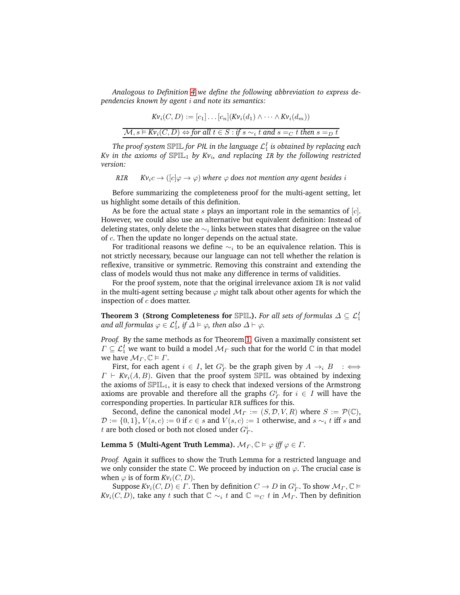*Analogous to Definition [4](#page-5-0) we define the following abbreviation to express dependencies known by agent* i *and note its semantics:*

$$
Kv_i(C, D) := [c_1] \dots [c_n](Kv_i(d_1) \wedge \dots \wedge Kv_i(d_m))
$$
  

$$
M, s \vDash Kv_i(C, D) \Leftrightarrow \text{for all } t \in S : \text{if } s \sim_i t \text{ and } s =_C t \text{ then } s =_D t
$$

The proof system  $\mathbb{SPL}$  for PIL in the language  $\mathcal{L}^I_1$  is obtained by replacing each *Kv in the axioms of* SPIL<sup>1</sup> *by Kv*<sup>i</sup> *, and replacing* IR *by the following restricted version:*

RIR  $Kv_i c \rightarrow (|c|\varphi \rightarrow \varphi)$  where  $\varphi$  does not mention any agent besides i

Before summarizing the completeness proof for the multi-agent setting, let us highlight some details of this definition.

As be fore the actual state  $s$  plays an important role in the semantics of  $[c]$ . However, we could also use an alternative but equivalent definition: Instead of deleting states, only delete the  $\sim_i$  links between states that disagree on the value of c. Then the update no longer depends on the actual state.

For traditional reasons we define  $\sim_i$  to be an equivalence relation. This is not strictly necessary, because our language can not tell whether the relation is reflexive, transitive or symmetric. Removing this constraint and extending the class of models would thus not make any difference in terms of validities.

For the proof system, note that the original irrelevance axiom IR is *not* valid in the multi-agent setting because  $\varphi$  might talk about other agents for which the inspection of  $c$  does matter.

**Theorem 3 (Strong Completeness for** SPIL). *For all sets of formulas*  $\Delta \subseteq \mathcal{L}_1^I$ and all formulas  $\varphi \in \mathcal{L}^I_1$ , if  $\varDelta \vDash \varphi$ , then also  $\varDelta \vdash \varphi.$ 

*Proof.* By the same methods as for Theorem [1.](#page-6-1) Given a maximally consistent set  $\varGamma\subseteq {\cal L}^I_1$  we want to build a model  ${\cal M}_\varGamma$  such that for the world  ${\Bbb C}$  in that model we have  $\mathcal{M}_{\Gamma}$ ,  $\mathbb{C} \models \Gamma$ .

First, for each agent  $i \in I$ , let  $G^i_{\Gamma}$  be the graph given by  $A \rightarrow_i B$  :  $\iff$  $\Gamma \vdash Kv_i(A, B)$ . Given that the proof system SPIL was obtained by indexing the axioms of  $\mathbb{SPL}_1$ , it is easy to check that indexed versions of the Armstrong axioms are provable and therefore all the graphs  $G^i_{\Gamma}$  for  $i \in I$  will have the corresponding properties. In particular RIR suffices for this.

Second, define the canonical model  $\mathcal{M}_{\Gamma} := (S, \mathcal{D}, V, R)$  where  $S := \mathcal{P}(\mathbb{C}),$  $\mathcal{D} := \{0, 1\}, V(s, c) := 0$  if  $c \in s$  and  $V(s, c) := 1$  otherwise, and  $s \sim_i t$  iff s and t are both closed or both not closed under  $G^i_\Gamma$ .

### **Lemma 5 (Multi-Agent Truth Lemma).**  $M_{\Gamma}$ ,  $\mathbb{C} \models \varphi$  *iff*  $\varphi \in \Gamma$ .

*Proof.* Again it suffices to show the Truth Lemma for a restricted language and we only consider the state  $\mathbb C$ . We proceed by induction on  $\varphi$ . The crucial case is when  $\varphi$  is of form  $Kv_i(C, D)$ .

Suppose  $Kv_i(C, D) \in \Gamma$ . Then by definition  $C \to D$  in  $G^i_{\Gamma}$ . To show  $\mathcal{M}_{\Gamma}, \mathbb{C} \vDash$ *Kv*<sub>i</sub>(*C*, *D*), take any t such that  $\mathbb{C} \sim_i t$  and  $\mathbb{C} =_C t$  in  $\mathcal{M}_\Gamma$ . Then by definition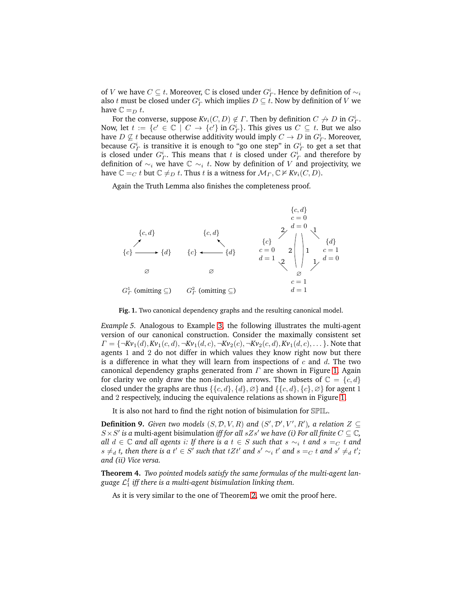of  $V$  we have  $C \subseteq t$ . Moreover,  $\mathbb C$  is closed under  $G^i_\varGamma$ . Hence by definition of  $\sim_i$ also  $t$  must be closed under  $G^i_\varGamma$  which implies  $D\subseteq t.$  Now by definition of  $V$  we have  $\mathbb{C} =_{D} t$ .

For the converse, suppose  $Kv_i(C, D) \notin \Gamma$ . Then by definition  $C \nrightarrow D$  in  $G^i_{\Gamma}$ . Now, let  $t := \{c' \in \mathbb{C} \mid C \to \{c'\} \text{ in } G^i_{\Gamma}\}$ . This gives us  $C \subseteq t$ . But we also have  $D \nsubseteq t$  because otherwise additivity would imply  $C \to D$  in  $G^i_P$ . Moreover, because  $G_{\varGamma}^i$  is transitive it is enough to "go one step" in  $G_{\varGamma}^i$  to get a set that is closed under  $G_F^i$ . This means that t is closed under  $G_F^i$  and therefore by definition of  $\sim$ <sub>i</sub> we have  $\mathbb{C}$   $\sim$ <sub>i</sub> t. Now by definition of V and projectivity, we have  $\mathbb{C} =_C t$  but  $\mathbb{C} \neq_D t$ . Thus t is a witness for  $\mathcal{M}_\Gamma, \mathbb{C} \not\vDash Kv_i(C, D)$ .

Again the Truth Lemma also finishes the completeness proof.



<span id="page-11-0"></span>**Fig. 1.** Two canonical dependency graphs and the resulting canonical model.

*Example 5.* Analogous to Example [3,](#page-8-3) the following illustrates the multi-agent version of our canonical construction. Consider the maximally consistent set  $\Gamma = \{\neg Kv_1(d), Kv_1(c, d), \neg Kv_1(d, c), \neg Kv_2(c), \neg Kv_2(c, d), Kv_1(d, c), \ldots\}$ . Note that agents 1 and 2 do not differ in which values they know right now but there is a difference in what they will learn from inspections of  $c$  and  $d$ . The two canonical dependency graphs generated from  $\Gamma$  are shown in Figure [1.](#page-11-0) Again for clarity we only draw the non-inclusion arrows. The subsets of  $\mathbb{C} = \{c, d\}$ closed under the graphs are thus  $\{\{c, d\}, \{d\}, \emptyset\}$  and  $\{\{c, d\}, \{c\}, \emptyset\}$  for agent 1 and 2 respectively, inducing the equivalence relations as shown in Figure [1.](#page-11-0)

It is also not hard to find the right notion of bisimulation for SPIL.

**Definition 9.** *Given two models*  $(S, \mathcal{D}, V, R)$  *and*  $(S', \mathcal{D}', V', R')$ *, a relation*  $Z \subseteq$  $S \times S'$  is a multi-agent bisimulation *iff for all*  $sZs'$  *we have (i) For all finite*  $C \subseteq \mathbb{C}$ , *all*  $d \in \mathbb{C}$  *and all agents i: If there is a*  $t \in S$  *such that*  $s \sim_i t$  *and*  $s =_C t$  *and s* ≠ *d* t, then there is a t' ∈ S' such that tZt' and s'  $\sim_i$  t' and s = c t and s' ≠ d t'; *and (ii) Vice versa.*

**Theorem 4.** *Two pointed models satisfy the same formulas of the multi-agent lan*guage  $\mathcal{L}^I_1$  iff there is a multi-agent bisimulation linking them.

As it is very similar to the one of Theorem [2,](#page-8-2) we omit the proof here.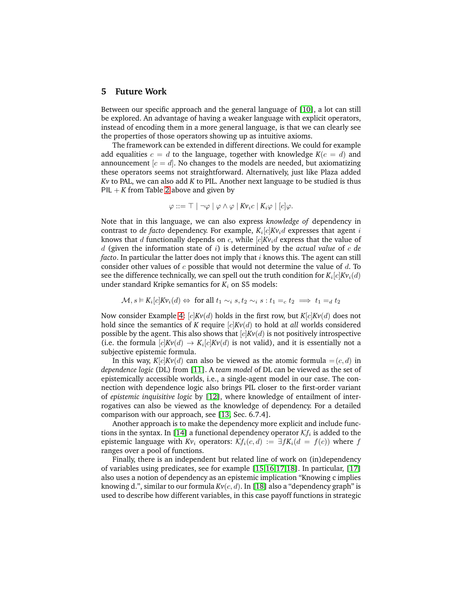### **5 Future Work**

Between our specific approach and the general language of [\[10\]](#page-13-9), a lot can still be explored. An advantage of having a weaker language with explicit operators, instead of encoding them in a more general language, is that we can clearly see the properties of those operators showing up as intuitive axioms.

The framework can be extended in different directions. We could for example add equalities  $c = d$  to the language, together with knowledge  $K(c = d)$  and announcement  $[c = d]$ . No changes to the models are needed, but axiomatizing these operators seems not straightforward. Alternatively, just like Plaza added *Kv* to PAL, we can also add *K* to PIL. Another next language to be studied is thus PIL  $+ K$  from Table [2](#page-2-0) above and given by

$$
\varphi ::= \top | \neg \varphi | \varphi \wedge \varphi | K v_i c | K_i \varphi | [c] \varphi.
$$

Note that in this language, we can also express *knowledge of* dependency in contrast to *de facto* dependency. For example,  $K_i[c]Kv_id$  expresses that agent  $i$ knows that d functionally depends on c, while  $[c]Kv_i d$  express that the value of d (given the information state of i) is determined by the *actual value* of c *de facto*. In particular the latter does not imply that *i* knows this. The agent can still consider other values of c possible that would not determine the value of d. To see the difference technically, we can spell out the truth condition for  $K_i[c]K{\nu}_i(d)$ under standard Kripke semantics for  $K_i$  on S5 models:

$$
\mathcal{M}, s \vDash K_i[c] K v_i(d) \Leftrightarrow \text{ for all } t_1 \sim_i s, t_2 \sim_i s : t_1 =_c t_2 \implies t_1 =_d t_2
$$

Now consider Example [4:](#page-8-0) [c]*Kv*(d) holds in the first row, but *K*[c]*Kv*(d) does not hold since the semantics of *K* require  $[c]Kv(d)$  to hold at *all* worlds considered possible by the agent. This also shows that  $[c]Kv(d)$  is not positively introspective (i.e. the formula  $[c]Kv(d) \rightarrow K_i[c]Kv(d)$  is not valid), and it is essentially not a subjective epistemic formula.

In this way,  $K[c]Kv(d)$  can also be viewed as the atomic formula  $=(c, d)$  in *dependence logic* (DL) from [\[11\]](#page-13-10). A *team model* of DL can be viewed as the set of epistemically accessible worlds, i.e., a single-agent model in our case. The connection with dependence logic also brings PIL closer to the first-order variant of *epistemic inquisitive logic* by [\[12\]](#page-13-11), where knowledge of entailment of interrogatives can also be viewed as the knowledge of dependency. For a detailed comparison with our approach, see [\[13,](#page-13-12) Sec. 6.7.4].

Another approach is to make the dependency more explicit and include func-tions in the syntax. In [\[14\]](#page-13-13) a functional dependency operator  $\mathcal{K}\!f_i$  is added to the epistemic language with  $Kv_i$  operators:  $\mathcal{K}f_i(c,d) := \exists fK_i(d = f(c))$  where f ranges over a pool of functions.

Finally, there is an independent but related line of work on (in)dependency of variables using predicates, see for example [\[15,](#page-13-14)[16,](#page-13-15)[17](#page-13-16)[,18\]](#page-13-17). In particular, [\[17\]](#page-13-16) also uses a notion of dependency as an epistemic implication "Knowing c implies knowing d.", similar to our formula *Kv*(c, d). In [\[18\]](#page-13-17) also a "dependency graph" is used to describe how different variables, in this case payoff functions in strategic